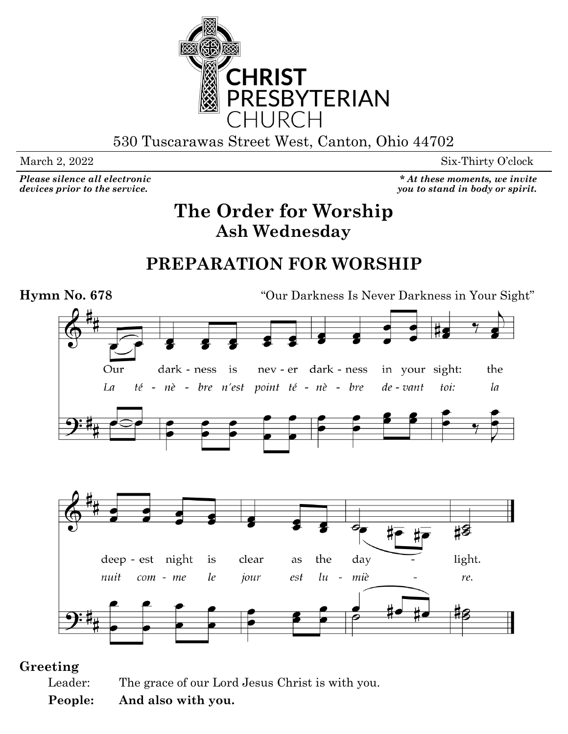

530 Tuscarawas Street West, Canton, Ohio 44702

March 2, 2022 Six-Thirty O'clock

*Please silence all electronic*  $\ddot{\phantom{a}}$  *\* At these moments, we invite*  $\ddot{\phantom{a}}$  *above devices prior to the service. devices prior to the service. you to stand in body or spirit.*

# **The Order for Worship Ash Wednesday**

# **PREPARATION FOR WORSHIP**



## **Greeting**

 Leader: The grace of our Lord Jesus Christ is with you.  **People: And also with you.**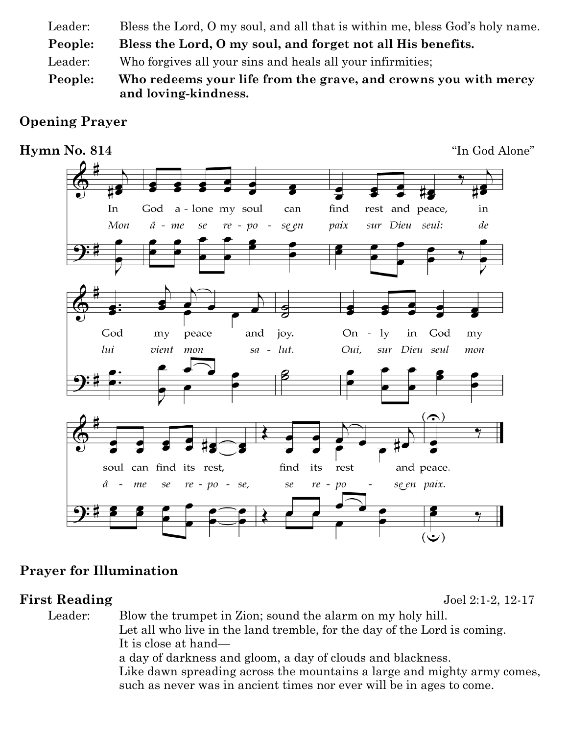| Leader: | Bless the Lord, O my soul, and all that is within me, bless God's holy name.            |
|---------|-----------------------------------------------------------------------------------------|
| People: | Bless the Lord, O my soul, and forget not all His benefits.                             |
| Leader: | Who forgives all your sins and heals all your infirmities;                              |
| People: | Who redeems your life from the grave, and crowns you with mercy<br>and loving-kindness. |

#### **Opening Prayer**



## **Prayer for Illumination**

**First Reading** Joel 2:1-2, 12-17

 Leader: Blow the trumpet in Zion; sound the alarm on my holy hill. Let all who live in the land tremble, for the day of the Lord is coming. It is close at hand a day of darkness and gloom, a day of clouds and blackness. Like dawn spreading across the mountains a large and mighty army comes, such as never was in ancient times nor ever will be in ages to come.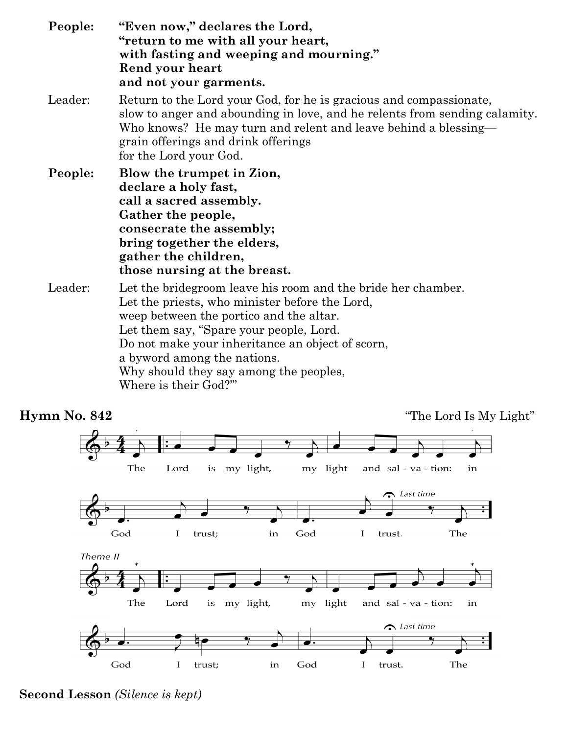**People: "Even now," declares the Lord, "return to me with all your heart, with fasting and weeping and mourning." Rend your heart and not your garments.** Leader: Return to the Lord your God, for he is gracious and compassionate, slow to anger and abounding in love, and he relents from sending calamity. Who knows? He may turn and relent and leave behind a blessing grain offerings and drink offerings for the Lord your God. **People: Blow the trumpet in Zion, declare a holy fast, call a sacred assembly. Gather the people, consecrate the assembly; bring together the elders, gather the children, those nursing at the breast.** Leader: Let the bridegroom leave his room and the bride her chamber. Let the priests, who minister before the Lord, weep between the portico and the altar. Let them say, "Spare your people, Lord. Do not make your inheritance an object of scorn, a byword among the nations.

Why should they say among the peoples,

Where is their God?'"



**Second Lesson** *(Silence is kept)*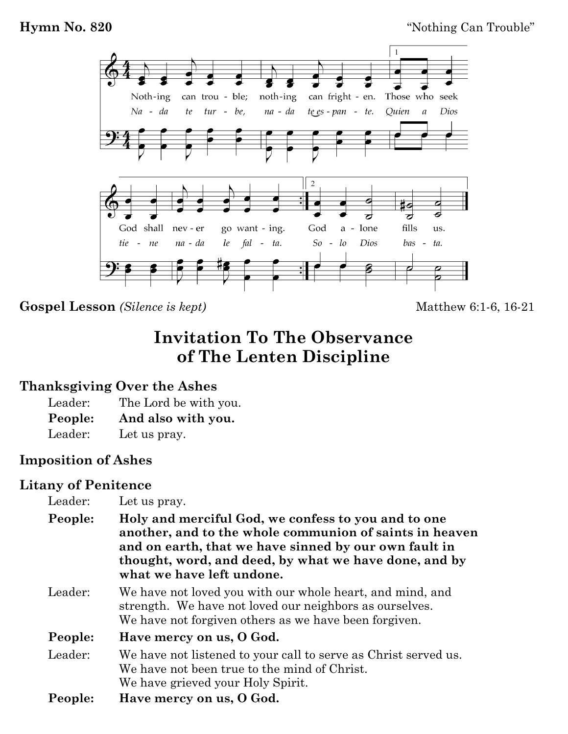

**Gospel Lesson** *(Silence is kept)* Matthew 6:1-6, 16-21

## **Invitation To The Observance of The Lenten Discipline**

## **Thanksgiving Over the Ashes**

| Leader: | The Lord be with you. |
|---------|-----------------------|
| People: | And also with you.    |
| Leader: | Let us pray.          |

## **Imposition of Ashes**

## **Litany of Penitence**

| Leader: | Let us pray.                                                                                                                                                                                                                                                  |
|---------|---------------------------------------------------------------------------------------------------------------------------------------------------------------------------------------------------------------------------------------------------------------|
| People: | Holy and merciful God, we confess to you and to one<br>another, and to the whole communion of saints in heaven<br>and on earth, that we have sinned by our own fault in<br>thought, word, and deed, by what we have done, and by<br>what we have left undone. |
| Leader: | We have not loved you with our whole heart, and mind, and<br>strength. We have not loved our neighbors as ourselves.<br>We have not forgiven others as we have been forgiven.                                                                                 |
| People: | Have mercy on us, O God.                                                                                                                                                                                                                                      |
| Leader: | We have not listened to your call to serve as Christ served us.<br>We have not been true to the mind of Christ.<br>We have grieved your Holy Spirit.                                                                                                          |
| People: | Have mercy on us, O God.                                                                                                                                                                                                                                      |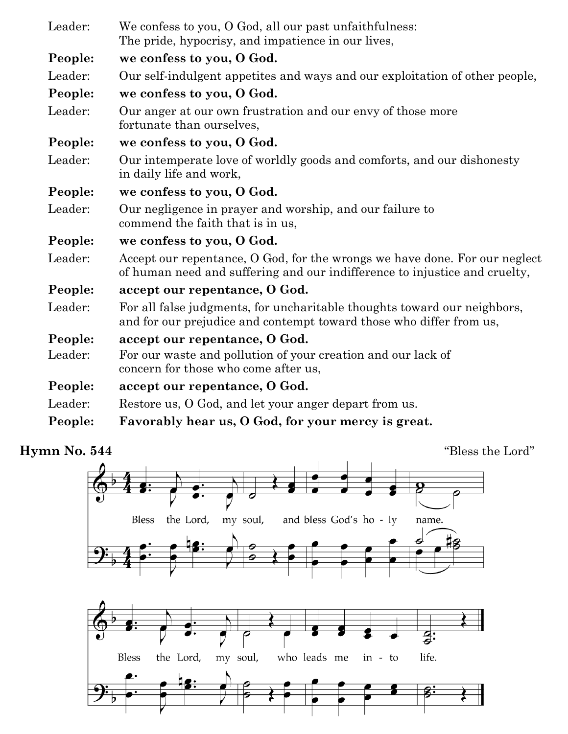| Leader: | We confess to you, O God, all our past unfaithfulness:<br>The pride, hypocrisy, and impatience in our lives,                                             |
|---------|----------------------------------------------------------------------------------------------------------------------------------------------------------|
| People: | we confess to you, O God.                                                                                                                                |
| Leader: | Our self-indulgent appetites and ways and our exploitation of other people,                                                                              |
| People: | we confess to you, O God.                                                                                                                                |
| Leader: | Our anger at our own frustration and our envy of those more<br>fortunate than ourselves,                                                                 |
| People: | we confess to you, O God.                                                                                                                                |
| Leader: | Our intemperate love of worldly goods and comforts, and our dishonesty<br>in daily life and work,                                                        |
| People: | we confess to you, O God.                                                                                                                                |
| Leader: | Our negligence in prayer and worship, and our failure to<br>commend the faith that is in us.                                                             |
| People: | we confess to you, O God.                                                                                                                                |
| Leader: | Accept our repentance, O God, for the wrongs we have done. For our neglect<br>of human need and suffering and our indifference to injustice and cruelty, |
| People: | accept our repentance, O God.                                                                                                                            |
| Leader: | For all false judgments, for uncharitable thoughts toward our neighbors,<br>and for our prejudice and contempt toward those who differ from us,          |
| People: | accept our repentance, O God.                                                                                                                            |
| Leader: | For our waste and pollution of your creation and our lack of<br>concern for those who come after us,                                                     |
| People: | accept our repentance, O God.                                                                                                                            |
| Leader: | Restore us, O God, and let your anger depart from us.                                                                                                    |
| People: | Favorably hear us, O God, for your mercy is great.                                                                                                       |

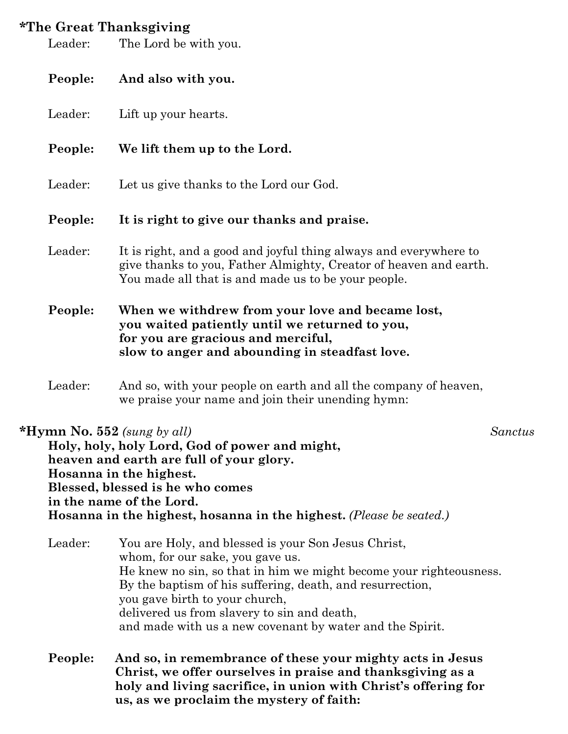## **\*The Great Thanksgiving**

| Leader: | The Lord be with you.                                                                                                                                                                                                                                                                                                                                                   |         |
|---------|-------------------------------------------------------------------------------------------------------------------------------------------------------------------------------------------------------------------------------------------------------------------------------------------------------------------------------------------------------------------------|---------|
| People: | And also with you.                                                                                                                                                                                                                                                                                                                                                      |         |
| Leader: | Lift up your hearts.                                                                                                                                                                                                                                                                                                                                                    |         |
| People: | We lift them up to the Lord.                                                                                                                                                                                                                                                                                                                                            |         |
| Leader: | Let us give thanks to the Lord our God.                                                                                                                                                                                                                                                                                                                                 |         |
| People: | It is right to give our thanks and praise.                                                                                                                                                                                                                                                                                                                              |         |
| Leader: | It is right, and a good and joyful thing always and everywhere to<br>give thanks to you, Father Almighty, Creator of heaven and earth.<br>You made all that is and made us to be your people.                                                                                                                                                                           |         |
| People: | When we withdrew from your love and became lost,<br>you waited patiently until we returned to you,<br>for you are gracious and merciful,<br>slow to anger and abounding in steadfast love.                                                                                                                                                                              |         |
| Leader: | And so, with your people on earth and all the company of heaven,<br>we praise your name and join their unending hymn:                                                                                                                                                                                                                                                   |         |
|         | *Hymn No. 552 (sung by all)<br>Holy, holy, holy Lord, God of power and might,<br>heaven and earth are full of your glory.<br>Hosanna in the highest.<br>Blessed, blessed is he who comes<br>in the name of the Lord.<br>Hosanna in the highest, hosanna in the highest. (Please be seated.)                                                                             | Sanctus |
| Leader: | You are Holy, and blessed is your Son Jesus Christ,<br>whom, for our sake, you gave us.<br>He knew no sin, so that in him we might become your righteousness.<br>By the baptism of his suffering, death, and resurrection,<br>you gave birth to your church,<br>delivered us from slavery to sin and death,<br>and made with us a new covenant by water and the Spirit. |         |
| People: | And so, in remembrance of these your mighty acts in Jesus<br>Christ, we offer ourselves in praise and thanksgiving as a<br>holy and living sacrifice, in union with Christ's offering for<br>us, as we proclaim the mystery of faith:                                                                                                                                   |         |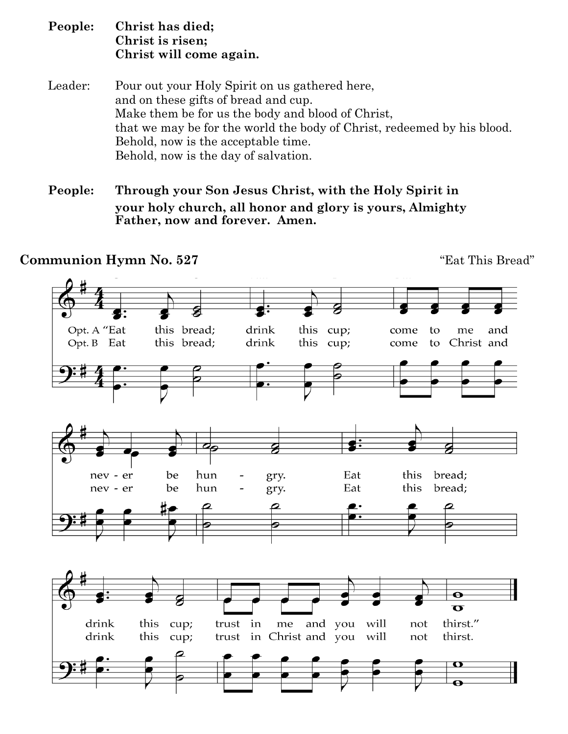| People: | Christ has died;<br>Christ is risen;<br>Christ will come again.                                                                                                                                                                                                                                       |
|---------|-------------------------------------------------------------------------------------------------------------------------------------------------------------------------------------------------------------------------------------------------------------------------------------------------------|
| Leader: | Pour out your Holy Spirit on us gathered here,<br>and on these gifts of bread and cup.<br>Make them be for us the body and blood of Christ,<br>that we may be for the world the body of Christ, redeemed by his blood.<br>Behold, now is the acceptable time.<br>Behold, now is the day of salvation. |

 **People: Through your Son Jesus Christ, with the Holy Spirit in your holy church, all honor and glory is yours, Almighty Father, now and forever. Amen.** 

#### Opt. A "Eat this bread; drink this cup; come to me and Opt. B Eat this bread; drink this cup; Christ and come to hun Eat be this bread; nev - er gry.  $\qquad \qquad$ be hun this bread; nev - er gry. Eat  $\overline{a}$ Ħ  $\overline{\mathbf{e}}$  $\overline{\mathbf{o}}$ drink thirst." this in me and you will cup; trust not thirst. drink this cup; trust in Christ and you will not 0  $\overline{\mathbf{o}}$  $\overline{\mathbf{e}}$

#### **Communion Hymn No. 527** "Eat This Bread"